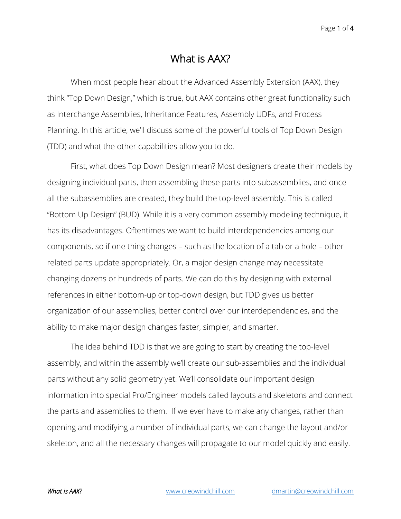## What is AAX?

When most people hear about the Advanced Assembly Extension (AAX), they think "Top Down Design," which is true, but AAX contains other great functionality such as Interchange Assemblies, Inheritance Features, Assembly UDFs, and Process Planning. In this article, we'll discuss some of the powerful tools of Top Down Design (TDD) and what the other capabilities allow you to do.

First, what does Top Down Design mean? Most designers create their models by designing individual parts, then assembling these parts into subassemblies, and once all the subassemblies are created, they build the top-level assembly. This is called "Bottom Up Design" (BUD). While it is a very common assembly modeling technique, it has its disadvantages. Oftentimes we want to build interdependencies among our components, so if one thing changes – such as the location of a tab or a hole – other related parts update appropriately. Or, a major design change may necessitate changing dozens or hundreds of parts. We can do this by designing with external references in either bottom-up or top-down design, but TDD gives us better organization of our assemblies, better control over our interdependencies, and the ability to make major design changes faster, simpler, and smarter.

The idea behind TDD is that we are going to start by creating the top-level assembly, and within the assembly we'll create our sub-assemblies and the individual parts without any solid geometry yet. We'll consolidate our important design information into special Pro/Engineer models called layouts and skeletons and connect the parts and assemblies to them. If we ever have to make any changes, rather than opening and modifying a number of individual parts, we can change the layout and/or skeleton, and all the necessary changes will propagate to our model quickly and easily.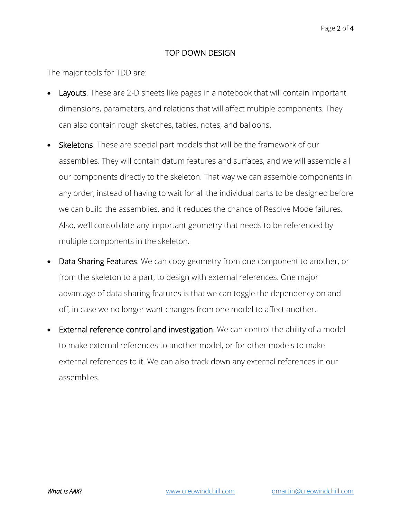## TOP DOWN DESIGN

The major tools for TDD are:

- **Layouts.** These are 2-D sheets like pages in a notebook that will contain important dimensions, parameters, and relations that will affect multiple components. They can also contain rough sketches, tables, notes, and balloons.
- Skeletons. These are special part models that will be the framework of our assemblies. They will contain datum features and surfaces, and we will assemble all our components directly to the skeleton. That way we can assemble components in any order, instead of having to wait for all the individual parts to be designed before we can build the assemblies, and it reduces the chance of Resolve Mode failures. Also, we'll consolidate any important geometry that needs to be referenced by multiple components in the skeleton.
- Data Sharing Features. We can copy geometry from one component to another, or from the skeleton to a part, to design with external references. One major advantage of data sharing features is that we can toggle the dependency on and off, in case we no longer want changes from one model to affect another.
- External reference control and investigation. We can control the ability of a model to make external references to another model, or for other models to make external references to it. We can also track down any external references in our assemblies.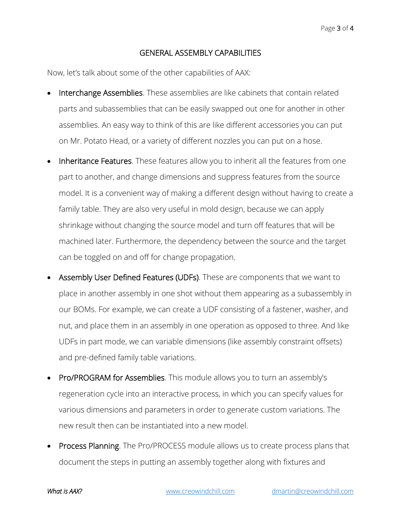## GENERAL ASSEMBLY CAPABILITIES

Now, let's talk about some of the other capabilities of AAX:

- Interchange Assemblies. These assemblies are like cabinets that contain related parts and subassemblies that can be easily swapped out one for another in other assemblies. An easy way to think of this are like different accessories you can put on Mr. Potato Head, or a variety of different nozzles you can put on a hose.
- Inheritance Features. These features allow you to inherit all the features from one part to another, and change dimensions and suppress features from the source model. It is a convenient way of making a different design without having to create a family table. They are also very useful in mold design, because we can apply shrinkage without changing the source model and turn off features that will be machined later. Furthermore, the dependency between the source and the target can be toggled on and off for change propagation.
- Assembly User Defined Features (UDFs). These are components that we want to place in another assembly in one shot without them appearing as a subassembly in our BOMs. For example, we can create a UDF consisting of a fastener, washer, and nut, and place them in an assembly in one operation as opposed to three. And like UDFs in part mode, we can variable dimensions (like assembly constraint offsets) and pre-defined family table variations.
- Pro/PROGRAM for Assemblies. This module allows you to turn an assembly's regeneration cycle into an interactive process, in which you can specify values for various dimensions and parameters in order to generate custom variations. The new result then can be instantiated into a new model.
- **Process Planning**. The Pro/PROCESS module allows us to create process plans that document the steps in putting an assembly together along with fixtures and